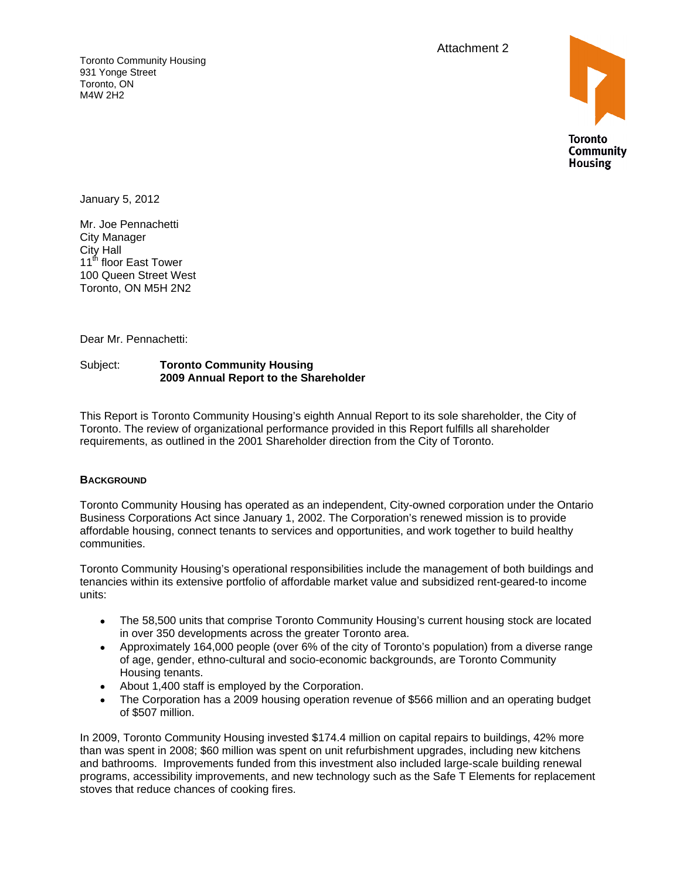Attachment 2

Toronto Community Housing 931 Yonge Street Toronto, ON M4W 2H2



January 5, 2012

Mr. Joe Pennachetti City Manager City Hall  $11^{\text{th}}$  floor East Tower  $\blacksquare$ 100 Queen Street West Toronto, ON M5H 2N2

Dear Mr. Pennachetti:

#### Subject: **Toronto Community Housing 2009 Annual Report to the Shareholder**

This Report is Toronto Community Housing's eighth Annual Report to its sole shareholder, the City of Toronto. The review of organizational performance provided in this Report fulfills all shareholder requirements, as outlined in the 2001 Shareholder direction from the City of Toronto.

#### **BACKGROUND**

Toronto Community Housing has operated as an independent, City-owned corporation under the Ontario Business Corporations Act since January 1, 2002. The Corporation's renewed mission is to provide affordable housing, connect tenants to services and opportunities, and work together to build healthy

communities.<br>Toronto Community Housing's operational responsibilities include the management of both buildings and tenancies within its extensive portfolio of affordable market value and subsidized rent-geared-to income units:

- The 58,500 units that comprise Toronto Community Housing's current housing stock are located  $\bullet$ in over 350 developments across the greater Toronto area.
- Approximately 164,000 people (over 6% of the city of Toronto's population) from a diverse range of age, gender, ethno-cultural and socio-economic backgrounds, are Toronto Community Housing tenants.
- About 1,400 staff is employed by the Corporation.
- The Corporation has a 2009 housing operation revenue of \$566 million and an operating budget of \$507 million.

In 2009, Toronto Community Housing invested \$174.4 million on capital repairs to buildings, 42% more than was spent in 2008; \$60 million was spent on unit refurbishment upgrades, including new kitchens and bathrooms. Improvements funded from this investment also included large-scale building renewal programs, accessibility improvements, and new technology such as the Safe T Elements for replacement stoves that reduce chances of cooking fires.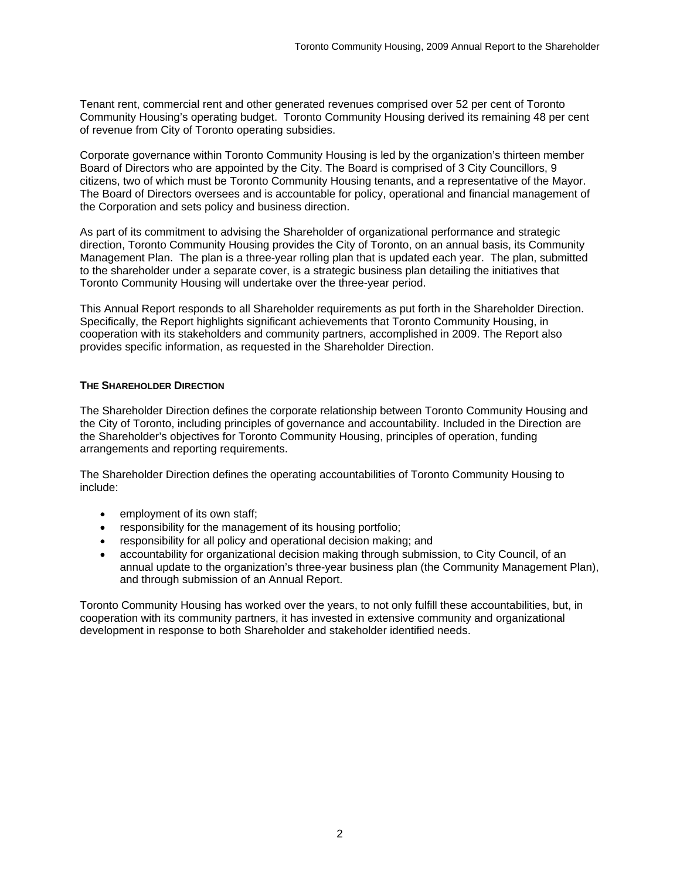Tenant rent, commercial rent and other generated revenues comprised over 52 per cent of Toronto Community Housing's operating budget. Toronto Community Housing derived its remaining 48 per cent

of revenue from City of Toronto operating subsidies.<br>Corporate governance within Toronto Community Housing is led by the organization's thirteen member Board of Directors who are appointed by the City. The Board is comprised of 3 City Councillors, 9 citizens, two of which must be Toronto Community Housing tenants, and a representative of the Mayor. The Board of Directors oversees and is accountable for policy, operational and financial management of the Corporation and sets policy and business direction.

As part of its commitment to advising the Shareholder of organizational performance and strategic direction, Toronto Community Housing provides the City of Toronto, on an annual basis, its Community Management Plan. The plan is a three-year rolling plan that is updated each year. The plan, submitted to the shareholder under a separate cover, is a strategic business plan detailing the initiatives that Toronto Community Housing will undertake over the three-year period.

This Annual Report responds to all Shareholder requirements as put forth in the Shareholder Direction. Specifically, the Report highlights significant achievements that Toronto Community Housing, in cooperation with its stakeholders and community partners, accomplished in 2009. The Report also provides specific information, as requested in the Shareholder Direction.

#### **THE SHAREHOLDER DIRECTION**

The Shareholder Direction defines the corporate relationship between Toronto Community Housing and the City of Toronto, including principles of governance and accountability. Included in the Direction are the Shareholder's objectives for Toronto Community Housing, principles of operation, funding arrangements and reporting requirements.

The Shareholder Direction defines the operating accountabilities of Toronto Community Housing to include:

- employment of its own staff;
- responsibility for the management of its housing portfolio;  $\bullet$
- responsibility for all policy and operational decision making; and
- accountability for organizational decision making through submission, to City Council, of an annual update to the organization's three-year business plan (the Community Management Plan), and through submission of an Annual Report.

Toronto Community Housing has worked over the years, to not only fulfill these accountabilities, but, in cooperation with its community partners, it has invested in extensive community and organizational development in response to both Shareholder and stakeholder identified needs.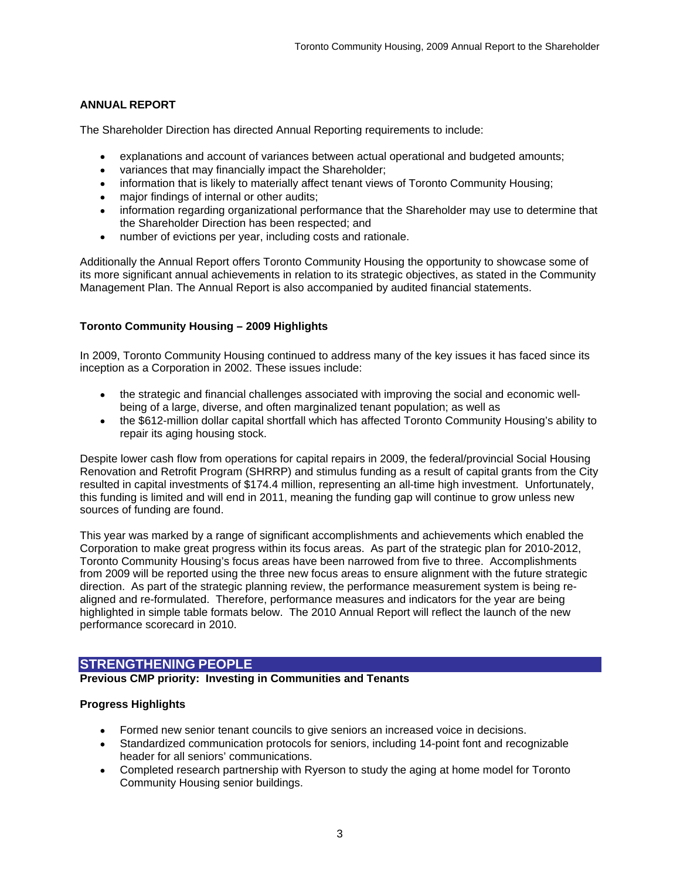# **ANNUAL REPORT**

The Shareholder Direction has directed Annual Reporting requirements to include:

- explanations and account of variances between actual operational and budgeted amounts;
- variances that may financially impact the Shareholder;  $\bullet$
- information that is likely to materially affect tenant views of Toronto Community Housing;  $\bullet$
- major findings of internal or other audits;
- information regarding organizational performance that the Shareholder may use to determine that the Shareholder Direction has been respected; and
- number of evictions per year, including costs and rationale.  $\bullet$

Additionally the Annual Report offers Toronto Community Housing the opportunity to showcase some of its more significant annual achievements in relation to its strategic objectives, as stated in the Community Management Plan. The Annual Report is also accompanied by audited financial statements.

### **Toronto Community Housing – 2009 Highlights**

In 2009, Toronto Community Housing continued to address many of the key issues it has faced since its inception as a Corporation in 2002. These issues include:

- the strategic and financial challenges associated with improving the social and economic well being of a large, diverse, and often marginalized tenant population; as well as
- the \$612-million dollar capital shortfall which has affected Toronto Community Housing's ability to repair its aging housing stock.

Despite lower cash flow from operations for capital repairs in 2009, the federal/provincial Social Housing Renovation and Retrofit Program (SHRRP) and stimulus funding as a result of capital grants from the City resulted in capital investments of \$174.4 million, representing an all-time high investment. Unfortunately, this funding is limited and will end in 2011, meaning the funding gap will continue to grow unless new sources of funding are found.

This year was marked by a range of significant accomplishments and achievements which enabled the Corporation to make great progress within its focus areas. As part of the strategic plan for 2010-2012, Toronto Community Housing's focus areas have been narrowed from five to three. Accomplishments from 2009 will be reported using the three new focus areas to ensure alignment with the future strategic direction. As part of the strategic planning review, the performance measurement system is being re aligned and re-formulated. Therefore, performance measures and indicators for the year are being highlighted in simple table formats below. The 2010 Annual Report will reflect the launch of the new performance scorecard in 2010.

# **STRENGTHENING PEOPLE**

#### **Previous CMP priority: Investing in Communities and Tenants**

### **Progress Highlights**

- Formed new senior tenant councils to give seniors an increased voice in decisions.
- Standardized communication protocols for seniors, including 14-point font and recognizable header for all seniors' communications.
- Completed research partnership with Ryerson to study the aging at home model for Toronto Community Housing senior buildings.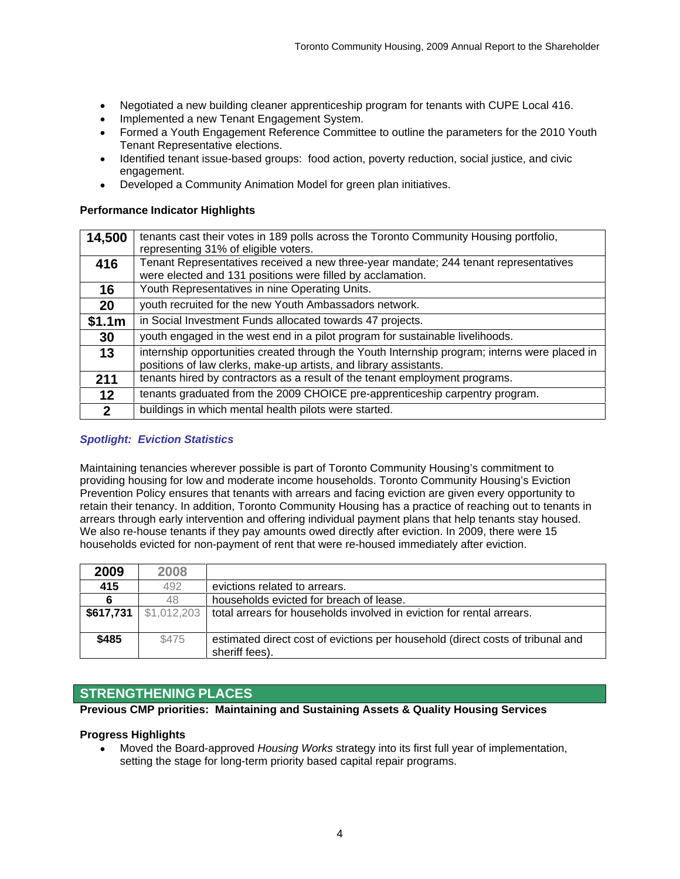- Negotiated a new building cleaner apprenticeship program for tenants with CUPE Local 416.  $\bullet$
- Implemented a new Tenant Engagement System.
- Formed a Youth Engagement Reference Committee to outline the parameters for the 2010 Youth  $\bullet$ Tenant Representative elections.
- Identified tenant issue-based groups: food action, poverty reduction, social justice, and civic  $\bullet$ engagement. We have a state of the state of the state of the state of the state of the state of the state of the state of the state of the state of the state of the state of the state of the state of the state of the state
- Developed a Community Animation Model for green plan initiatives.  $\bullet$

#### **Performance Indicator Highlights**

| 14,500 tenants cast their votes in 189 polls across the Toronto Community Housing portfolio,  |
|-----------------------------------------------------------------------------------------------|
| representing 31% of eligible voters.                                                          |
| 416   Tenant Representatives received a new three-year mandate; 244 tenant representatives    |
| were elected and 131 positions were filled by acclamation.                                    |
| Youth Representatives in nine Operating Units.                                                |
| youth recruited for the new Youth Ambassadors network.                                        |
| \$1.1 $m$   in Social Investment Funds allocated towards 47 projects.                         |
| youth engaged in the west end in a pilot program for sustainable livelihoods.                 |
| internship opportunities created through the Youth Internship program; interns were placed in |
| positions of law clerks, make-up artists, and library assistants.                             |
| 211 $\parallel$ tenants hired by contractors as a result of the tenant employment programs.   |
| tenants graduated from the 2009 CHOICE pre-apprenticeship carpentry program.                  |
|                                                                                               |

### **Spotlight: Eviction Statistics**

Maintaining tenancies wherever possible is part of Toronto Community Housing's commitment to providing housing for low and moderate income households. Toronto Community Housing's Eviction Prevention Policy ensures that tenants with arrears and facing eviction are given every opportunity to retain their tenancy. In addition, Toronto Community Housing has a practice of reaching out to tenants in arrears through early intervention and offering individual payment plans that help tenants stay housed. We also re-house tenants if they pay amounts owed directly after eviction. In 2009, there were 15 households evicted for non-payment of rent that were re-housed immediately after eviction.

| 2009      | 2008  |                                                                                  |
|-----------|-------|----------------------------------------------------------------------------------|
| 415       |       | evictions related to arrears.                                                    |
|           | 1 Q I | households evicted for breach of lease.                                          |
| \$617,731 |       | total arrears for households involved in eviction for rental arrears.            |
|           |       |                                                                                  |
| \$485     | 74 I  | I estimated direct cost of evictions per household (direct costs of tribunal and |
|           |       | sheriff fees).                                                                   |

# **STRENGTHENING PLACES**

**Previous CMP priorities: Maintaining and Sustaining Assets & Quality Housing Services** 

#### **Progress Highlights**

Moved the Board-approved Housing Works strategy into its first full year of implementation, setting the stage for long-term priority based capital repair programs.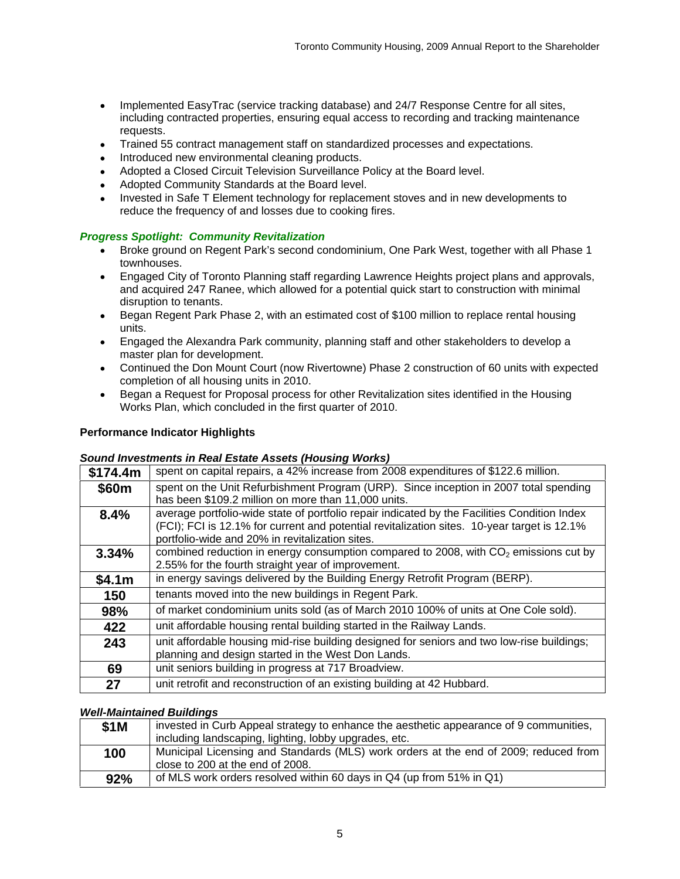- Implemented EasyTrac (service tracking database) and 24/7 Response Centre for all sites,  $\bullet$ including contracted properties, ensuring equal access to recording and tracking maintenance requests. The contract of the contract of the contract of the contract of the contract of the contract of the contract of the contract of the contract of the contract of the contract of the contract of the contract of the
- Trained 55 contract management staff on standardized processes and expectations.
- Introduced new environmental cleaning products.
- Adopted a Closed Circuit Television Surveillance Policy at the Board level.  $\bullet$
- Adopted Community Standards at the Board level.  $\bullet$
- Invested in Safe T Element technology for replacement stoves and in new developments to reduce the frequency of and losses due to cooking fires.

# **Progress Spotlight: Community Revitalization**

- Broke ground on Regent Park's second condominium, One Park West, together with all Phase 1 townhouses.
- Engaged City of Toronto Planning staff regarding Lawrence Heights project plans and approvals, and acquired 247 Ranee, which allowed for a potential quick start to construction with minimal  $\bullet$ disruption to tenants.
- Began Regent Park Phase 2, with an estimated cost of \$100 million to replace rental housing units. The contract of the contract of the contract of the contract of the contract of the contract of the contract of the contract of the contract of the contract of the contract of the contract of the contract of the con
- Engaged the Alexandra Park community, planning staff and other stakeholders to develop a master plan for development.
- Continued the Don Mount Court (now Rivertowne) Phase 2 construction of 60 units with expected completion of all housing units in 2010.
- Began a Request for Proposal process for other Revitalization sites identified in the Housing  $\bullet$ Works Plan, which concluded in the first quarter of 2010.

### **Performance Indicator Highlights**

### **Sound Investments in Real Estate Assets (Housing Works)**

| \$174.4 $m$   spent on capital repairs, a 42% increase from 2008 expenditures of \$122.6 million.<br>spent on the Unit Refurbishment Program (URP). Since inception in 2007 total spending<br>\$60m<br>has been \$109.2 million on more than 11,000 units.<br>average portfolio-wide state of portfolio repair indicated by the Facilities Condition Index<br>8.4%<br>(FCI); FCI is 12.1% for current and potential revitalization sites. 10-year target is 12.1%<br>portfolio-wide and 20% in revitalization sites.<br>$^{\prime}$ combined reduction in energy consumption compared to 2008, with CO <sub>2</sub> emissions cut by<br>3.34%<br>2.55% for the fourth straight year of improvement.<br>in energy savings delivered by the Building Energy Retrofit Program (BERP).<br>\$4.1m |
|----------------------------------------------------------------------------------------------------------------------------------------------------------------------------------------------------------------------------------------------------------------------------------------------------------------------------------------------------------------------------------------------------------------------------------------------------------------------------------------------------------------------------------------------------------------------------------------------------------------------------------------------------------------------------------------------------------------------------------------------------------------------------------------------|
|                                                                                                                                                                                                                                                                                                                                                                                                                                                                                                                                                                                                                                                                                                                                                                                              |
|                                                                                                                                                                                                                                                                                                                                                                                                                                                                                                                                                                                                                                                                                                                                                                                              |
|                                                                                                                                                                                                                                                                                                                                                                                                                                                                                                                                                                                                                                                                                                                                                                                              |
|                                                                                                                                                                                                                                                                                                                                                                                                                                                                                                                                                                                                                                                                                                                                                                                              |
|                                                                                                                                                                                                                                                                                                                                                                                                                                                                                                                                                                                                                                                                                                                                                                                              |
|                                                                                                                                                                                                                                                                                                                                                                                                                                                                                                                                                                                                                                                                                                                                                                                              |
|                                                                                                                                                                                                                                                                                                                                                                                                                                                                                                                                                                                                                                                                                                                                                                                              |
|                                                                                                                                                                                                                                                                                                                                                                                                                                                                                                                                                                                                                                                                                                                                                                                              |
|                                                                                                                                                                                                                                                                                                                                                                                                                                                                                                                                                                                                                                                                                                                                                                                              |
| tenants moved into the new buildings in Regent Park.<br>150                                                                                                                                                                                                                                                                                                                                                                                                                                                                                                                                                                                                                                                                                                                                  |
| of market condominium units sold (as of March 2010 100% of units at One Cole sold).<br>98%                                                                                                                                                                                                                                                                                                                                                                                                                                                                                                                                                                                                                                                                                                   |
| unit affordable housing rental building started in the Railway Lands.<br>422                                                                                                                                                                                                                                                                                                                                                                                                                                                                                                                                                                                                                                                                                                                 |
| unit affordable housing mid-rise building designed for seniors and two low-rise buildings;<br>243                                                                                                                                                                                                                                                                                                                                                                                                                                                                                                                                                                                                                                                                                            |
| planning and design started in the West Don Lands.                                                                                                                                                                                                                                                                                                                                                                                                                                                                                                                                                                                                                                                                                                                                           |
| unit seniors building in progress at 717 Broadview.<br>69                                                                                                                                                                                                                                                                                                                                                                                                                                                                                                                                                                                                                                                                                                                                    |
| unit retrofit and reconstruction of an existing building at 42 Hubbard.                                                                                                                                                                                                                                                                                                                                                                                                                                                                                                                                                                                                                                                                                                                      |

### **Well-Maintained Buildings**

| ested in Curb Appeal strategy to enhance the aesthetic appearance of 9 communities,  |  |
|--------------------------------------------------------------------------------------|--|
| including landscaping, lighting, lobby upgrades, etc.                                |  |
| Municipal Licensing and Standards (MLS) work orders at the end of 2009; reduced from |  |
| close to 200 at the end of 2008.                                                     |  |
| of MLS work orders resolved within 60 days in Q4 (up from 51% in Q1)                 |  |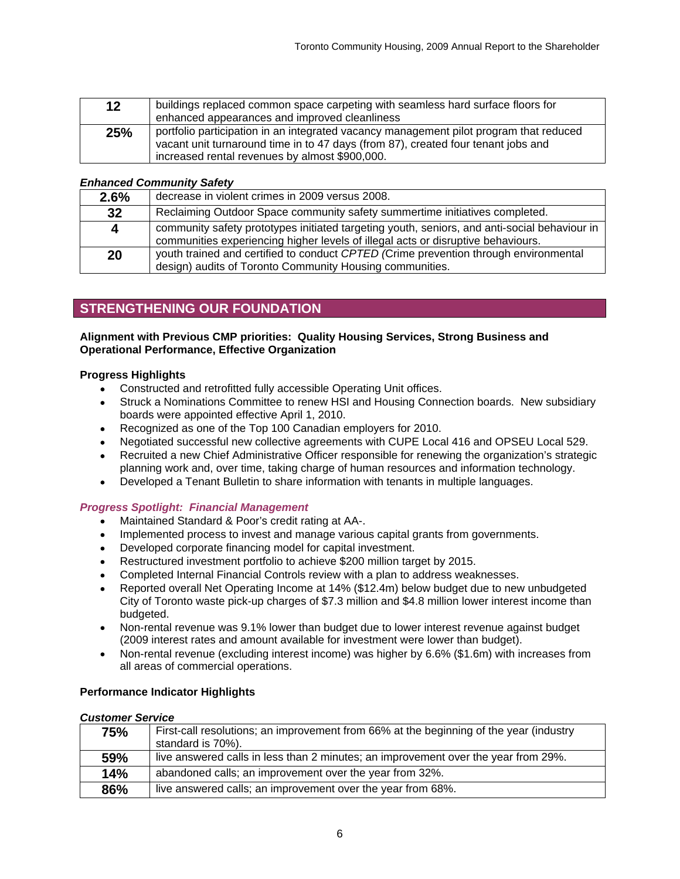|     | buildings replaced common space carpeting with seamless hard surface floors for        |
|-----|----------------------------------------------------------------------------------------|
|     | enhanced appearances and improved cleanliness                                          |
| 25% | portfolio participation in an integrated vacancy management pilot program that reduced |
|     | I vacant unit turnaround time in to 47 days (from 87), created four tenant jobs and    |
|     | increased rental revenues by almost \$900,000.                                         |

#### **Enhanced Community Safety**

| 2.6% | decrease in violent crimes in 2009 versus 2008.                                                                                                                          |
|------|--------------------------------------------------------------------------------------------------------------------------------------------------------------------------|
|      | Reclaiming Outdoor Space community safety summertime initiatives completed.                                                                                              |
|      | community safety prototypes initiated targeting youth, seniors, and anti-social behaviour in                                                                             |
|      | communities experiencing higher levels of illegal acts or disruptive behaviours.<br>youth trained and certified to conduct CPTED (Crime prevention through environmental |
|      | design) audits of Toronto Community Housing communities.                                                                                                                 |

# **STRENGTHENING OUR FOUNDATION**

#### **Alignment with Previous CMP priorities: Quality Housing Services, Strong Business and Operational Performance, Effective Organization**

#### **Progress Highlights**

- Constructed and retrofitted fully accessible Operating Unit offices.
- Struck a Nominations Committee to renew HSI and Housing Connection boards. New subsidiary  $\bullet$ boards were appointed effective April 1, 2010.
- Recognized as one of the Top 100 Canadian employers for 2010.  $\bullet$
- Negotiated successful new collective agreements with CUPE Local 416 and OPSEU Local 529.
- Recruited a new Chief Administrative Officer responsible for renewing the organization's strategic  $\bullet$ planning work and, over time, taking charge of human resources and information technology. Developed a Tenant Bulletin to share information with tenants in multiple languages.
- $\bullet$

### **Progress Spotlight: Financial Management**

- Maintained Standard & Poor's credit rating at AA-.
- Implemented process to invest and manage various capital grants from governments.  $\bullet$
- Developed corporate financing model for capital investment.
- Restructured investment portfolio to achieve \$200 million target by 2015.
- Completed Internal Financial Controls review with a plan to address weaknesses.
- Reported overall Net Operating Income at 14% (\$12.4m) below budget due to new unbudgeted City of Toronto waste pick-up charges of \$7.3 million and \$4.8 million lower interest income than budgeted. And the control of the control of the control of the control of the control of the control of the control of the control of the control of the control of the control of the control of the control of the control o
- $\bullet$ Non-rental revenue was 9.1% lower than budget due to lower interest revenue against budget (2009 interest rates and amount available for investment were lower than budget).
- Non-rental revenue (excluding interest income) was higher by 6.6% (\$1.6m) with increases from  $\bullet$ all areas of commercial operations.

#### **Performance Indicator Highlights**

#### **Customer Service**

| 75%               | First-call resolutions; an improvement from 66% at the beginning of the year (industry |
|-------------------|----------------------------------------------------------------------------------------|
|                   | standard is 70%)                                                                       |
| EO <sub>0</sub> / | live answered calls in less than 2 minutes; an improvement over the year from 29%.     |
| 14%               | I abandoned calls; an improvement over the year from 32%.                              |
| 007               | I live answered calls; an improvement over the year from 68%.                          |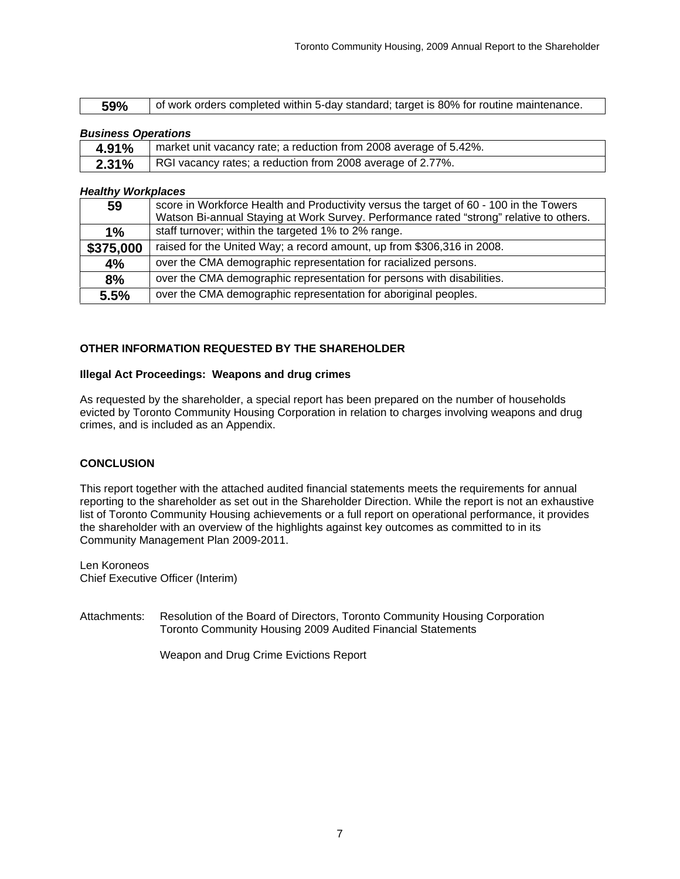| <b>59%</b> $\begin{bmatrix}$ of work orders completed within 5-day standard; target is 80% for routine maintenance. |  |
|---------------------------------------------------------------------------------------------------------------------|--|

| <b>Business Operations</b>                                                       |  |  |
|----------------------------------------------------------------------------------|--|--|
| <b>4.91%</b>   market unit vacancy rate; a reduction from 2008 average of 5.42%. |  |  |
| <b>2.31%</b>   RGI vacancy rates; a reduction from 2008 average of 2.77%.        |  |  |

#### **Healthy Workplaces**

| Score in Workforce Health and Productivity versus the target of 60 - 100 in the Towers         |
|------------------------------------------------------------------------------------------------|
| Watson Bi-annual Staying at Work Survey. Performance rated "strong" relative to others.        |
| staff turnover; within the targeted 1% to 2% range.                                            |
| $^{\prime}$ \$375,000   raised for the United Way; a record amount, up from \$306,316 in 2008. |
| over the CMA demographic representation for racialized persons.                                |
| over the CMA demographic representation for persons with disabilities.                         |
| over the CMA demographic representation for aboriginal peoples.                                |

### **OTHER INFORMATION REQUESTED BY THE SHAREHOLDER**

### **Illegal Act Proceedings: Weapons and drug crimes**

As requested by the shareholder, a special report has been prepared on the number of households evicted by Toronto Community Housing Corporation in relation to charges involving weapons and drug crimes, and is included as an Appendix.

### **CONCLUSION**

This report together with the attached audited financial statements meets the requirements for annual reporting to the shareholder as set out in the Shareholder Direction. While the report is not an exhaustive list of Toronto Community Housing achievements or a full report on operational performance, it provides the shareholder with an overview of the highlights against key outcomes as committed to in its Community Management Plan 2009-2011.

Len Koroneos Chief Executive Officer (Interim)

Attachments: Resolution of the Board of Directors, Toronto Community Housing Corporation Toronto Community Housing 2009 Audited Financial Statements

Weapon and Drug Crime Evictions Report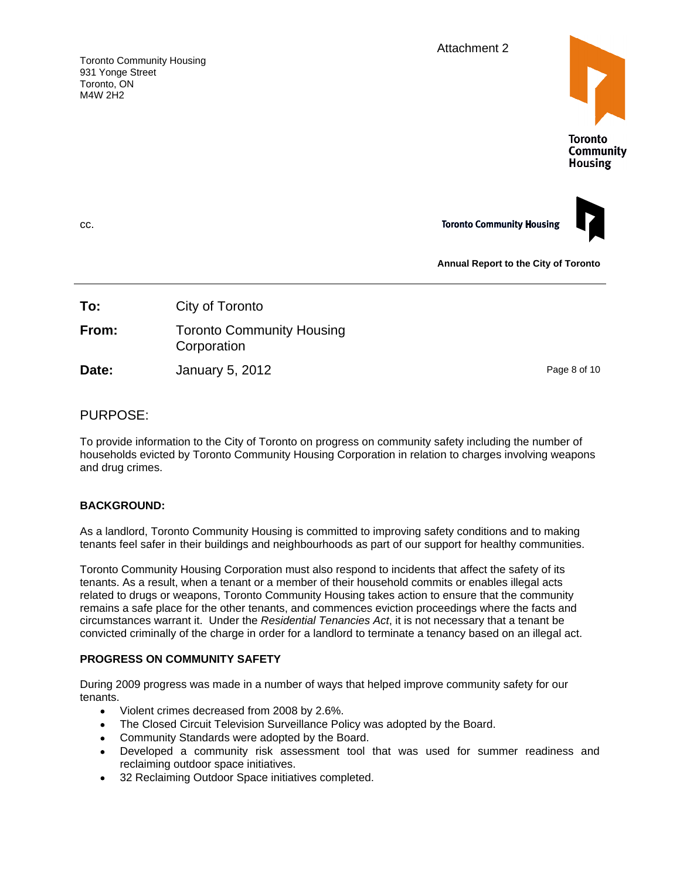Attachment 2

Toronto Community Housing 931 Yonge Street Toronto, ON M4W 2H2





**Annual Report to the City of Toronto**

|  |  | City of Toronto | To: |
|--|--|-----------------|-----|
|--|--|-----------------|-----|

| From: | Toronto Community<br>ty Housing |
|-------|---------------------------------|
|       | Corporation                     |

**Date:** January 5, 2012 **Date:** Page 8 of 10

# PURPOSE:

To provide information to the City of Toronto on progress on community safety including the number of households evicted by Toronto Community Housing Corporation in relation to charges involving weapons and drug crimes.

# **BACKGROUND:**

As a landlord, Toronto Community Housing is committed to improving safety conditions and to making tenants feel safer in their buildings and neighbourhoods as part of our support for healthy communities.

Toronto Community Housing Corporation must also respond to incidents that affect the safety of its tenants. As a result, when a tenant or a member of their household commits or enables illegal acts related to drugs or weapons, Toronto Community Housing takes action to ensure that the community remains a safe place for the other tenants, and commences eviction proceedings where the facts and circumstances warrant it. Under the Residential Tenancies Act, it is not necessary that a tenant be convicted criminally of the charge in order for a landlord to terminate a tenancy based on an illegal act.

# **PROGRESS ON COMMUNITY SAFETY**

During 2009 progress was made in a number of ways that helped improve community safety for our tenants.

- $\bullet$ Violent crimes decreased from 2008 by 2.6%.
- The Closed Circuit Television Surveillance Policy was adopted by the Board.
- Community Standards were adopted by the Board.
- Developed a community risk assessment tool that was used for summer readiness and reclaiming outdoor space initiatives.
- 32 Reclaiming Outdoor Space initiatives completed.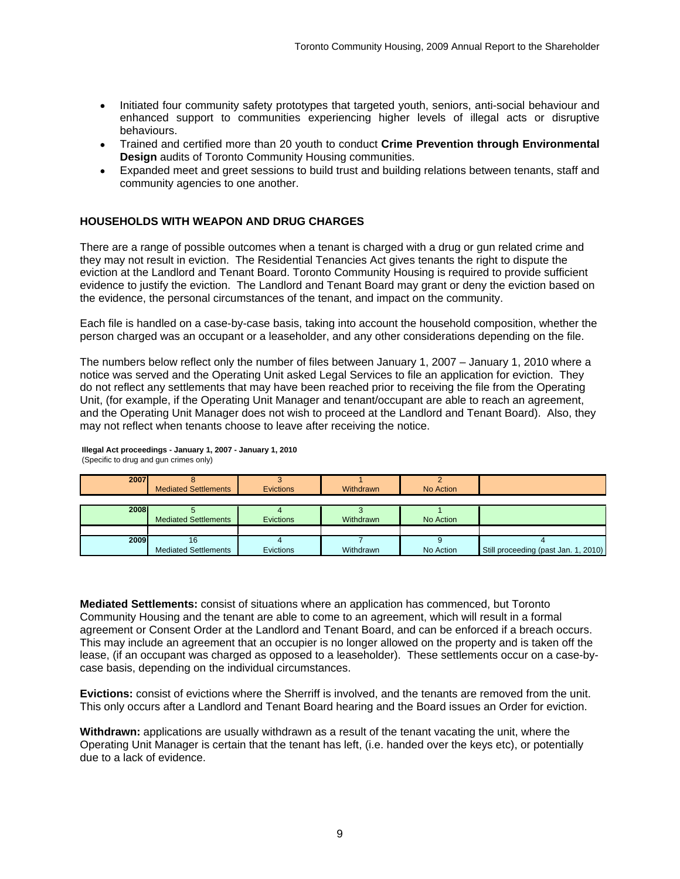- Initiated four community safety prototypes that targeted youth, seniors, anti-social behaviour and enhanced support to communities experiencing higher levels of illegal acts or disruptive behaviours. The contract of the contract of the contract of the contract of the contract of the contract of the contract of the contract of the contract of the contract of the contract of the contract of the contract of th
- Trained and certified more than 20 youth to conduct **Crime Prevention through Environmental Design** audits of Toronto Community Housing communities.
- Expanded meet and greet sessions to build trust and building relations between tenants, staff and community agencies to one another.

#### **HOUSEHOLDS WITH WEAPON AND DRUG CHARGES**

There are a range of possible outcomes when a tenant is charged with a drug or gun related crime and they may not result in eviction. The Residential Tenancies Act gives tenants the right to dispute the eviction at the Landlord and Tenant Board. Toronto Community Housing is required to provide sufficient evidence to justify the eviction. The Landlord and Tenant Board may grant or deny the eviction based on the evidence, the personal circumstances of the tenant, and impact on the community.

Each file is handled on a case-by-case basis, taking into account the household composition, whether the person charged was an occupant or a leaseholder, and any other considerations depending on the file.

The numbers below reflect only the number of files between January 1, 2007 – January 1, 2010 where a notice was served and the Operating Unit asked Legal Services to file an application for eviction. They do not reflect any settlements that may have been reached prior to receiving the file from the Operating Unit, (for example, if the Operating Unit Manager and tenant/occupant are able to reach an agreement, and the Operating Unit Manager does not wish to proceed at the Landlord and Tenant Board). Also, they may not reflect when tenants choose to leave after receiving the notice.

| Mediated Settlements | Evictions | Withdrawn | No Action |                                      |
|----------------------|-----------|-----------|-----------|--------------------------------------|
|                      |           |           |           |                                      |
|                      |           |           |           |                                      |
| Mediated Settlements | Evictions | Withdraw  | No Action |                                      |
|                      |           |           |           |                                      |
| <b>LUVJ</b>          |           |           |           |                                      |
| Mediated Settlements | Evictions | Withdrawn | No Action | Still proceeding (past Jan. 1, 2010) |

**Illegal Act proceedings - January 1, 2007 - January 1, 2010** (Specific to drug and gun crimes only)

**Mediated Settlements:** consist of situations where an application has commenced, but Toronto Community Housing and the tenant are able to come to an agreement, which will result in a formal agreement or Consent Order at the Landlord and Tenant Board, and can be enforced if a breach occurs. This may include an agreement that an occupier is no longer allowed on the property and is taken off the lease, (if an occupant was charged as opposed to a leaseholder). These settlements occur on a case-by case basis, depending on the individual circumstances.

**Evictions:** consist of evictions where the Sherriff is involved, and the tenants are removed from the unit. This only occurs after a Landlord and Tenant Board hearing and the Board issues an Order for eviction.

**Withdrawn:** applications are usually withdrawn as a result of the tenant vacating the unit, where the Operating Unit Manager is certain that the tenant has left, (i.e. handed over the keys etc), or potentially due to a lack of evidence.